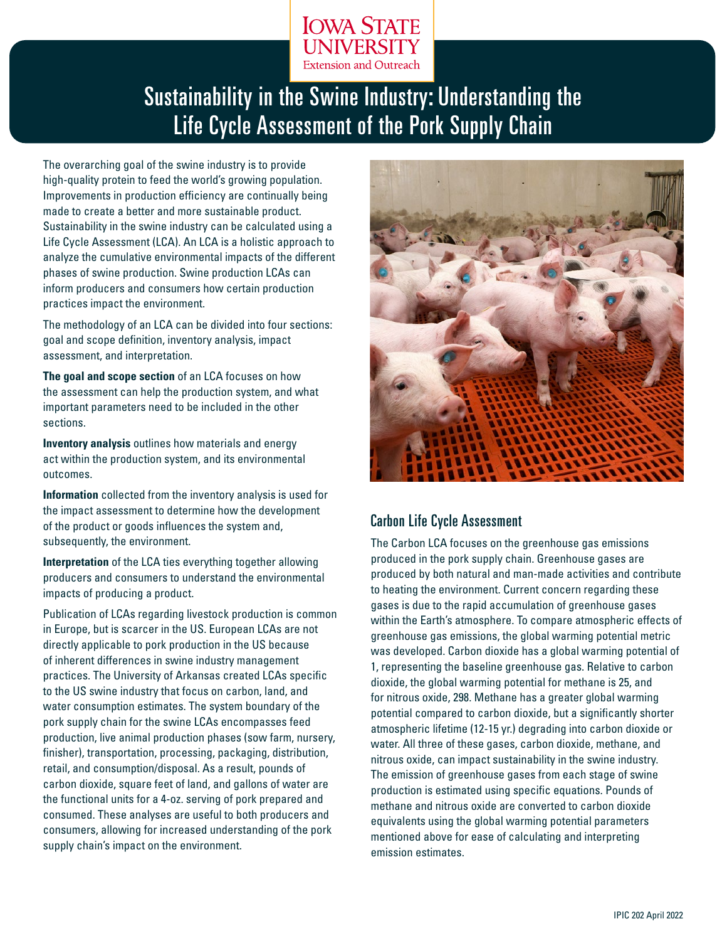

# Sustainability in the Swine Industry: Understanding the Life Cycle Assessment of the Pork Supply Chain

The overarching goal of the swine industry is to provide high-quality protein to feed the world's growing population. Improvements in production efficiency are continually being made to create a better and more sustainable product. Sustainability in the swine industry can be calculated using a Life Cycle Assessment (LCA). An LCA is a holistic approach to analyze the cumulative environmental impacts of the different phases of swine production. Swine production LCAs can inform producers and consumers how certain production practices impact the environment.

The methodology of an LCA can be divided into four sections: goal and scope definition, inventory analysis, impact assessment, and interpretation.

**The goal and scope section** of an LCA focuses on how the assessment can help the production system, and what important parameters need to be included in the other sections.

**Inventory analysis** outlines how materials and energy act within the production system, and its environmental outcomes.

**Information** collected from the inventory analysis is used for the impact assessment to determine how the development of the product or goods influences the system and, subsequently, the environment.

**Interpretation** of the LCA ties everything together allowing producers and consumers to understand the environmental impacts of producing a product.

Publication of LCAs regarding livestock production is common in Europe, but is scarcer in the US. European LCAs are not directly applicable to pork production in the US because of inherent differences in swine industry management practices. The University of Arkansas created LCAs specific to the US swine industry that focus on carbon, land, and water consumption estimates. The system boundary of the pork supply chain for the swine LCAs encompasses feed production, live animal production phases (sow farm, nursery, finisher), transportation, processing, packaging, distribution, retail, and consumption/disposal. As a result, pounds of carbon dioxide, square feet of land, and gallons of water are the functional units for a 4-oz. serving of pork prepared and consumed. These analyses are useful to both producers and consumers, allowing for increased understanding of the pork supply chain's impact on the environment.



## Carbon Life Cycle Assessment

The Carbon LCA focuses on the greenhouse gas emissions produced in the pork supply chain. Greenhouse gases are produced by both natural and man-made activities and contribute to heating the environment. Current concern regarding these gases is due to the rapid accumulation of greenhouse gases within the Earth's atmosphere. To compare atmospheric effects of greenhouse gas emissions, the global warming potential metric was developed. Carbon dioxide has a global warming potential of 1, representing the baseline greenhouse gas. Relative to carbon dioxide, the global warming potential for methane is 25, and for nitrous oxide, 298. Methane has a greater global warming potential compared to carbon dioxide, but a significantly shorter atmospheric lifetime (12-15 yr.) degrading into carbon dioxide or water. All three of these gases, carbon dioxide, methane, and nitrous oxide, can impact sustainability in the swine industry. The emission of greenhouse gases from each stage of swine production is estimated using specific equations. Pounds of methane and nitrous oxide are converted to carbon dioxide equivalents using the global warming potential parameters mentioned above for ease of calculating and interpreting emission estimates.